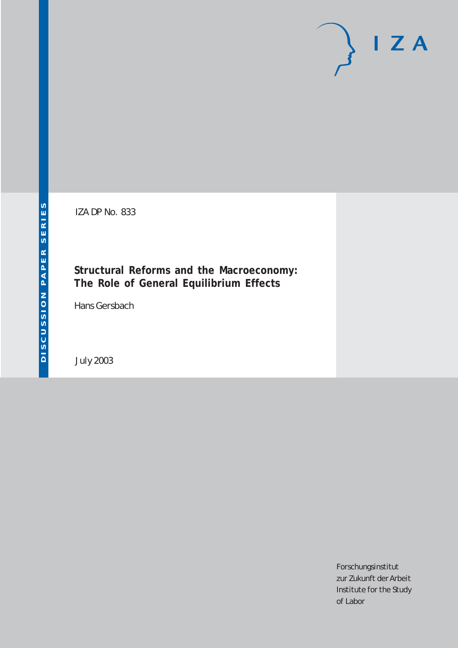# $I Z A$

IZA DP No. 833

## **Structural Reforms and the Macroeconomy: The Role of General Equilibrium Effects**

Hans Gersbach

July 2003

Forschungsinstitut zur Zukunft der Arbeit Institute for the Study of Labor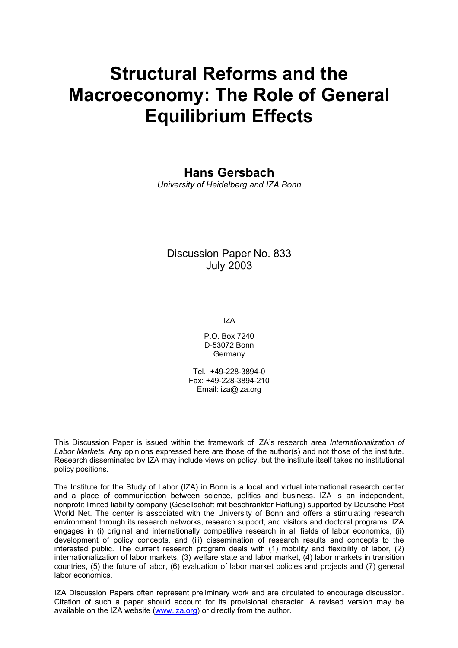# **Structural Reforms and the Macroeconomy: The Role of General Equilibrium Effects**

## **Hans Gersbach**

*University of Heidelberg and IZA Bonn* 

Discussion Paper No. 833 July 2003

IZA

P.O. Box 7240 D-53072 Bonn Germany

Tel.: +49-228-3894-0 Fax: +49-228-3894-210 Email: [iza@iza.org](mailto:iza@iza.org)

This Discussion Paper is issued within the framework of IZA's research area *Internationalization of Labor Markets.* Any opinions expressed here are those of the author(s) and not those of the institute. Research disseminated by IZA may include views on policy, but the institute itself takes no institutional policy positions.

The Institute for the Study of Labor (IZA) in Bonn is a local and virtual international research center and a place of communication between science, politics and business. IZA is an independent, nonprofit limited liability company (Gesellschaft mit beschränkter Haftung) supported by Deutsche Post World Net. The center is associated with the University of Bonn and offers a stimulating research environment through its research networks, research support, and visitors and doctoral programs. IZA engages in (i) original and internationally competitive research in all fields of labor economics, (ii) development of policy concepts, and (iii) dissemination of research results and concepts to the interested public. The current research program deals with (1) mobility and flexibility of labor, (2) internationalization of labor markets, (3) welfare state and labor market, (4) labor markets in transition countries, (5) the future of labor, (6) evaluation of labor market policies and projects and (7) general labor economics.

IZA Discussion Papers often represent preliminary work and are circulated to encourage discussion. Citation of such a paper should account for its provisional character. A revised version may be available on the IZA website ([www.iza.org](http://www.iza.org/)) or directly from the author.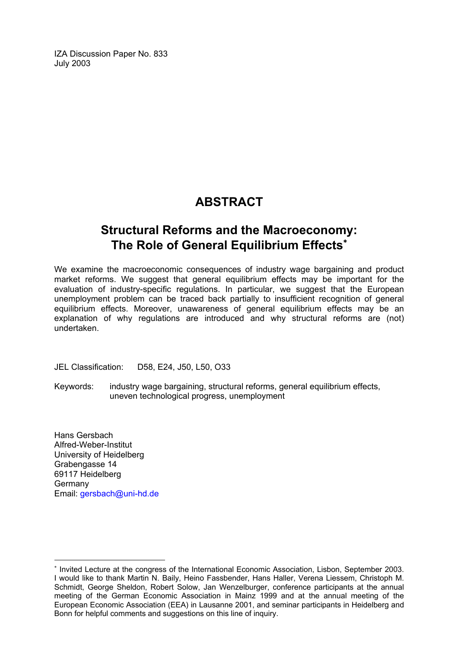IZA Discussion Paper No. 833 July 2003

## **ABSTRACT**

## **Structural Reforms and the Macroeconomy: The Role of General Equilibrium Effects**[∗](#page-2-0)

We examine the macroeconomic consequences of industry wage bargaining and product market reforms. We suggest that general equilibrium effects may be important for the evaluation of industry-specific regulations. In particular, we suggest that the European unemployment problem can be traced back partially to insufficient recognition of general equilibrium effects. Moreover, unawareness of general equilibrium effects may be an explanation of why regulations are introduced and why structural reforms are (not) undertaken.

JEL Classification: D58, E24, J50, L50, O33

Keywords: industry wage bargaining, structural reforms, general equilibrium effects, uneven technological progress, unemployment

Hans Gersbach Alfred-Weber-Institut University of Heidelberg Grabengasse 14 69117 Heidelberg Germany Email: [gersbach@uni-hd.de](mailto:gersbach@uni-hd.de)

 $\overline{a}$ 

<span id="page-2-0"></span><sup>∗</sup> Invited Lecture at the congress of the International Economic Association, Lisbon, September 2003. I would like to thank Martin N. Baily, Heino Fassbender, Hans Haller, Verena Liessem, Christoph M. Schmidt, George Sheldon, Robert Solow, Jan Wenzelburger, conference participants at the annual meeting of the German Economic Association in Mainz 1999 and at the annual meeting of the European Economic Association (EEA) in Lausanne 2001, and seminar participants in Heidelberg and Bonn for helpful comments and suggestions on this line of inquiry.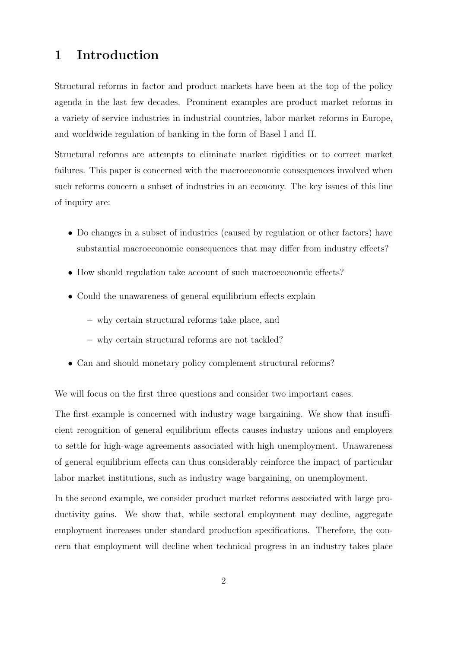### 1 Introduction

Structural reforms in factor and product markets have been at the top of the policy agenda in the last few decades. Prominent examples are product market reforms in a variety of service industries in industrial countries, labor market reforms in Europe, and worldwide regulation of banking in the form of Basel I and II.

Structural reforms are attempts to eliminate market rigidities or to correct market failures. This paper is concerned with the macroeconomic consequences involved when such reforms concern a subset of industries in an economy. The key issues of this line of inquiry are:

- Do changes in a subset of industries (caused by regulation or other factors) have substantial macroeconomic consequences that may differ from industry effects?
- How should regulation take account of such macroeconomic effects?
- Could the unawareness of general equilibrium effects explain
	- why certain structural reforms take place, and
	- why certain structural reforms are not tackled?
- Can and should monetary policy complement structural reforms?

We will focus on the first three questions and consider two important cases.

The first example is concerned with industry wage bargaining. We show that insufficient recognition of general equilibrium effects causes industry unions and employers to settle for high-wage agreements associated with high unemployment. Unawareness of general equilibrium effects can thus considerably reinforce the impact of particular labor market institutions, such as industry wage bargaining, on unemployment.

In the second example, we consider product market reforms associated with large productivity gains. We show that, while sectoral employment may decline, aggregate employment increases under standard production specifications. Therefore, the concern that employment will decline when technical progress in an industry takes place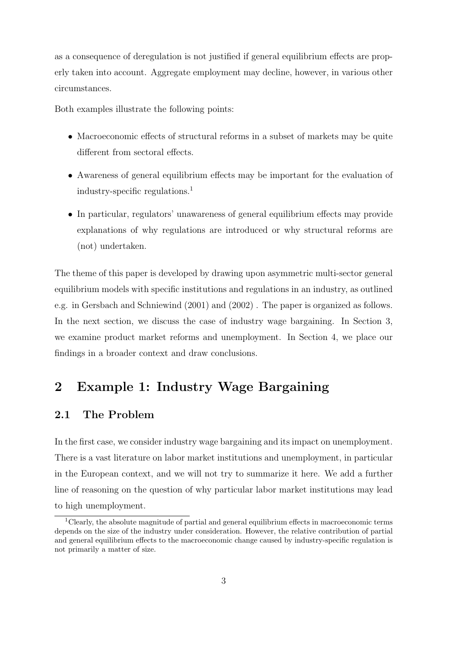as a consequence of deregulation is not justified if general equilibrium effects are properly taken into account. Aggregate employment may decline, however, in various other circumstances.

Both examples illustrate the following points:

- Macroeconomic effects of structural reforms in a subset of markets may be quite different from sectoral effects.
- Awareness of general equilibrium effects may be important for the evaluation of industry-specific regulations.<sup>1</sup>
- In particular, regulators' unawareness of general equilibrium effects may provide explanations of why regulations are introduced or why structural reforms are (not) undertaken.

The theme of this paper is developed by drawing upon asymmetric multi-sector general equilibrium models with specific institutions and regulations in an industry, as outlined e.g. in Gersbach and Schniewind (2001) and (2002) . The paper is organized as follows. In the next section, we discuss the case of industry wage bargaining. In Section 3, we examine product market reforms and unemployment. In Section 4, we place our findings in a broader context and draw conclusions.

## 2 Example 1: Industry Wage Bargaining

#### 2.1 The Problem

In the first case, we consider industry wage bargaining and its impact on unemployment. There is a vast literature on labor market institutions and unemployment, in particular in the European context, and we will not try to summarize it here. We add a further line of reasoning on the question of why particular labor market institutions may lead to high unemployment.

<sup>&</sup>lt;sup>1</sup>Clearly, the absolute magnitude of partial and general equilibrium effects in macroeconomic terms depends on the size of the industry under consideration. However, the relative contribution of partial and general equilibrium effects to the macroeconomic change caused by industry-specific regulation is not primarily a matter of size.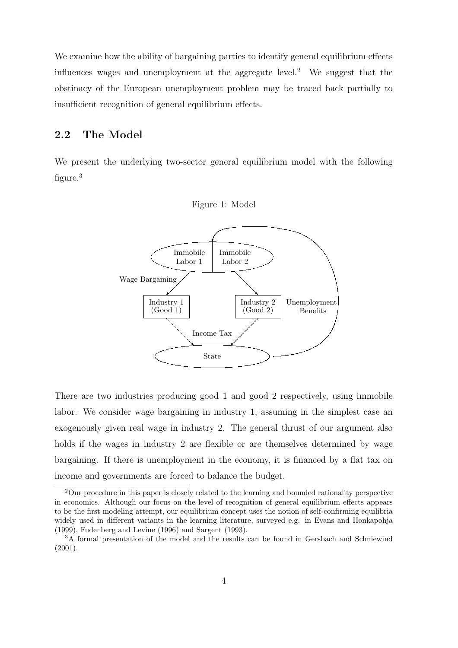We examine how the ability of bargaining parties to identify general equilibrium effects influences wages and unemployment at the aggregate level.<sup>2</sup> We suggest that the obstinacy of the European unemployment problem may be traced back partially to insufficient recognition of general equilibrium effects.

#### 2.2 The Model

We present the underlying two-sector general equilibrium model with the following figure.<sup>3</sup>



There are two industries producing good 1 and good 2 respectively, using immobile labor. We consider wage bargaining in industry 1, assuming in the simplest case an exogenously given real wage in industry 2. The general thrust of our argument also holds if the wages in industry 2 are flexible or are themselves determined by wage bargaining. If there is unemployment in the economy, it is financed by a flat tax on income and governments are forced to balance the budget.

<sup>2</sup>Our procedure in this paper is closely related to the learning and bounded rationality perspective in economics. Although our focus on the level of recognition of general equilibrium effects appears to be the first modeling attempt, our equilibrium concept uses the notion of self-confirming equilibria widely used in different variants in the learning literature, surveyed e.g. in Evans and Honkapohja (1999), Fudenberg and Levine (1996) and Sargent (1993).

<sup>3</sup>A formal presentation of the model and the results can be found in Gersbach and Schniewind (2001).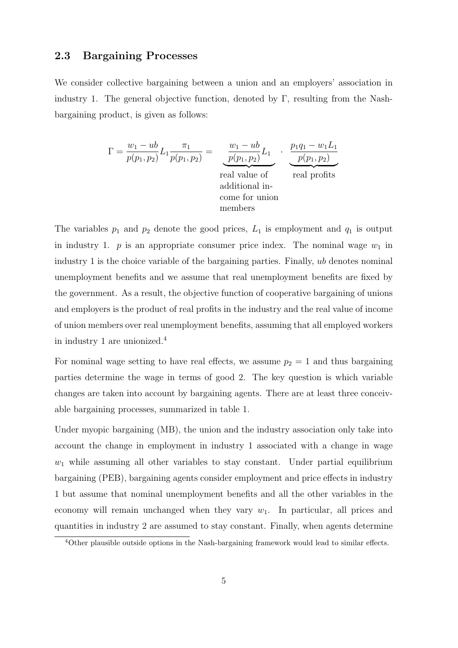#### 2.3 Bargaining Processes

We consider collective bargaining between a union and an employers' association in industry 1. The general objective function, denoted by  $\Gamma$ , resulting from the Nashbargaining product, is given as follows:

$$
\Gamma = \frac{w_1 - ub}{p(p_1, p_2)} L_1 \frac{\pi_1}{p(p_1, p_2)} = \underbrace{\frac{w_1 - ub}{p(p_1, p_2)}}_{\text{real value of}} L_1 \cdot \underbrace{\frac{p_1 q_1 - w_1 L_1}{p(p_1, p_2)}}_{\text{real profile of}} \\ \text{additional in-} \\ \text{come for union} \\ \text{members}
$$

The variables  $p_1$  and  $p_2$  denote the good prices,  $L_1$  is employment and  $q_1$  is output in industry 1.  $p$  is an appropriate consumer price index. The nominal wage  $w_1$  in industry 1 is the choice variable of the bargaining parties. Finally, ub denotes nominal unemployment benefits and we assume that real unemployment benefits are fixed by the government. As a result, the objective function of cooperative bargaining of unions and employers is the product of real profits in the industry and the real value of income of union members over real unemployment benefits, assuming that all employed workers in industry 1 are unionized.<sup>4</sup>

For nominal wage setting to have real effects, we assume  $p_2 = 1$  and thus bargaining parties determine the wage in terms of good 2. The key question is which variable changes are taken into account by bargaining agents. There are at least three conceivable bargaining processes, summarized in table 1.

Under myopic bargaining (MB), the union and the industry association only take into account the change in employment in industry 1 associated with a change in wage  $w_1$  while assuming all other variables to stay constant. Under partial equilibrium bargaining (PEB), bargaining agents consider employment and price effects in industry 1 but assume that nominal unemployment benefits and all the other variables in the economy will remain unchanged when they vary  $w_1$ . In particular, all prices and quantities in industry 2 are assumed to stay constant. Finally, when agents determine

<sup>4</sup>Other plausible outside options in the Nash-bargaining framework would lead to similar effects.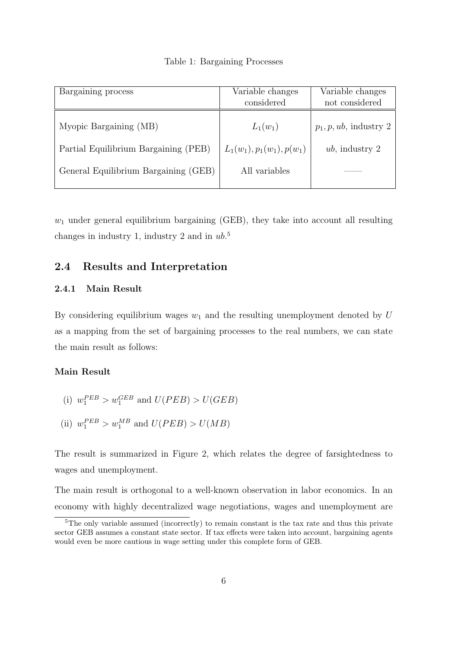|  | Table 1: Bargaining Processes |  |
|--|-------------------------------|--|
|--|-------------------------------|--|

| Bargaining process                   | Variable changes<br>considered | Variable changes<br>not considered |
|--------------------------------------|--------------------------------|------------------------------------|
| Myopic Bargaining (MB)               | $L_1(w_1)$                     | $p_1, p, ub$ , industry 2          |
| Partial Equilibrium Bargaining (PEB) | $L_1(w_1), p_1(w_1), p(w_1)$   | $ub$ , industry 2                  |
| General Equilibrium Bargaining (GEB) | All variables                  |                                    |

 $w_1$  under general equilibrium bargaining (GEB), they take into account all resulting changes in industry 1, industry 2 and in  $ub$ <sup>5</sup>

#### 2.4 Results and Interpretation

#### 2.4.1 Main Result

By considering equilibrium wages  $w_1$  and the resulting unemployment denoted by U as a mapping from the set of bargaining processes to the real numbers, we can state the main result as follows:

#### Main Result

- (i)  $w_1^{PEB} > w_1^{GEB}$  and  $U(PEB) > U(GEB)$
- (ii)  $w_1^{PEB} > w_1^{MB}$  and  $U(PEB) > U(MB)$

The result is summarized in Figure 2, which relates the degree of farsightedness to wages and unemployment.

The main result is orthogonal to a well-known observation in labor economics. In an economy with highly decentralized wage negotiations, wages and unemployment are

<sup>&</sup>lt;sup>5</sup>The only variable assumed (incorrectly) to remain constant is the tax rate and thus this private sector GEB assumes a constant state sector. If tax effects were taken into account, bargaining agents would even be more cautious in wage setting under this complete form of GEB.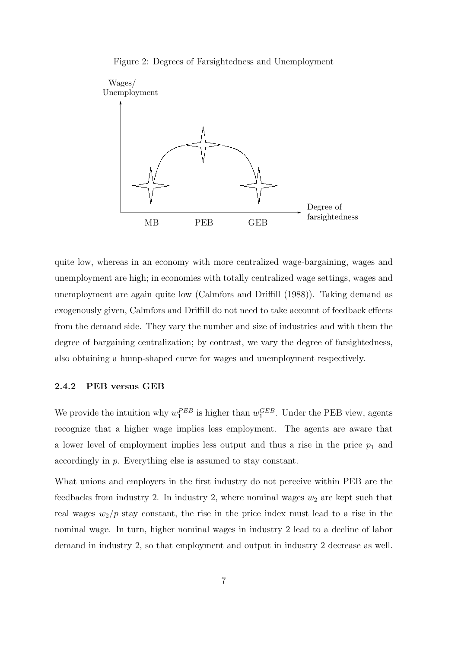



quite low, whereas in an economy with more centralized wage-bargaining, wages and unemployment are high; in economies with totally centralized wage settings, wages and unemployment are again quite low (Calmfors and Driffill (1988)). Taking demand as exogenously given, Calmfors and Driffill do not need to take account of feedback effects from the demand side. They vary the number and size of industries and with them the degree of bargaining centralization; by contrast, we vary the degree of farsightedness, also obtaining a hump-shaped curve for wages and unemployment respectively.

#### 2.4.2 PEB versus GEB

We provide the intuition why  $w_1^{PEB}$  is higher than  $w_1^{GEB}$ . Under the PEB view, agents recognize that a higher wage implies less employment. The agents are aware that a lower level of employment implies less output and thus a rise in the price  $p_1$  and accordingly in p. Everything else is assumed to stay constant.

What unions and employers in the first industry do not perceive within PEB are the feedbacks from industry 2. In industry 2, where nominal wages  $w_2$  are kept such that real wages  $w_2/p$  stay constant, the rise in the price index must lead to a rise in the nominal wage. In turn, higher nominal wages in industry 2 lead to a decline of labor demand in industry 2, so that employment and output in industry 2 decrease as well.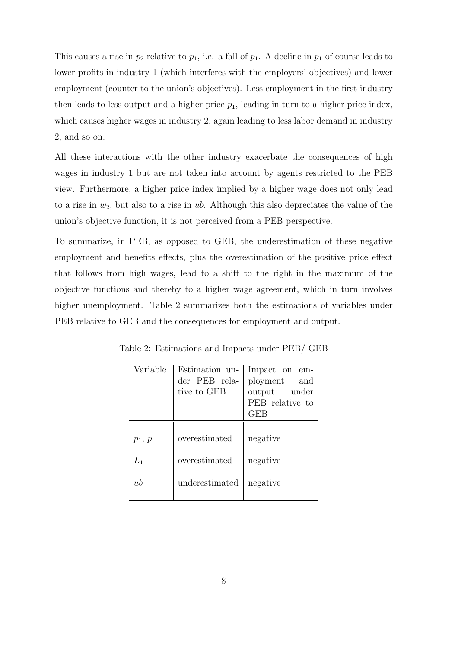This causes a rise in  $p_2$  relative to  $p_1$ , i.e. a fall of  $p_1$ . A decline in  $p_1$  of course leads to lower profits in industry 1 (which interferes with the employers' objectives) and lower employment (counter to the union's objectives). Less employment in the first industry then leads to less output and a higher price  $p_1$ , leading in turn to a higher price index, which causes higher wages in industry 2, again leading to less labor demand in industry 2, and so on.

All these interactions with the other industry exacerbate the consequences of high wages in industry 1 but are not taken into account by agents restricted to the PEB view. Furthermore, a higher price index implied by a higher wage does not only lead to a rise in  $w_2$ , but also to a rise in ub. Although this also depreciates the value of the union's objective function, it is not perceived from a PEB perspective.

To summarize, in PEB, as opposed to GEB, the underestimation of these negative employment and benefits effects, plus the overestimation of the positive price effect that follows from high wages, lead to a shift to the right in the maximum of the objective functions and thereby to a higher wage agreement, which in turn involves higher unemployment. Table 2 summarizes both the estimations of variables under PEB relative to GEB and the consequences for employment and output.

| Variable          | Estimation un-<br>der PEB rela-<br>tive to GEB | Impact on em-<br>ployment and<br>output under<br>PEB relative to<br>GEB |
|-------------------|------------------------------------------------|-------------------------------------------------------------------------|
| $p_1, p$<br>$L_1$ | overestimated<br>overestimated                 | negative<br>negative                                                    |
| ub                | underestimated                                 | negative                                                                |

Table 2: Estimations and Impacts under PEB/ GEB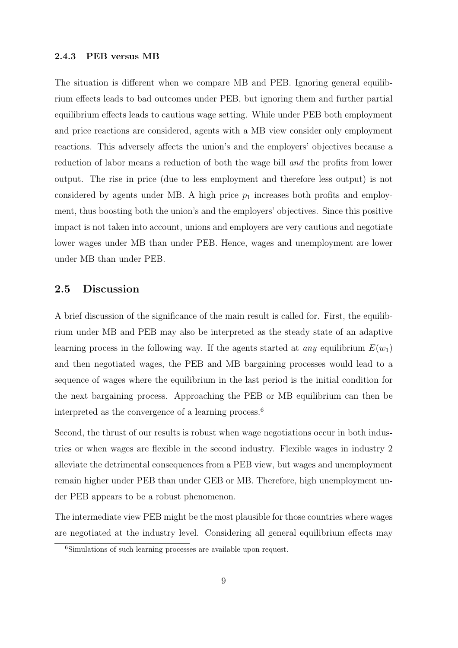#### 2.4.3 PEB versus MB

The situation is different when we compare MB and PEB. Ignoring general equilibrium effects leads to bad outcomes under PEB, but ignoring them and further partial equilibrium effects leads to cautious wage setting. While under PEB both employment and price reactions are considered, agents with a MB view consider only employment reactions. This adversely affects the union's and the employers' objectives because a reduction of labor means a reduction of both the wage bill and the profits from lower output. The rise in price (due to less employment and therefore less output) is not considered by agents under MB. A high price  $p_1$  increases both profits and employment, thus boosting both the union's and the employers' objectives. Since this positive impact is not taken into account, unions and employers are very cautious and negotiate lower wages under MB than under PEB. Hence, wages and unemployment are lower under MB than under PEB.

#### 2.5 Discussion

A brief discussion of the significance of the main result is called for. First, the equilibrium under MB and PEB may also be interpreted as the steady state of an adaptive learning process in the following way. If the agents started at *any* equilibrium  $E(w_1)$ and then negotiated wages, the PEB and MB bargaining processes would lead to a sequence of wages where the equilibrium in the last period is the initial condition for the next bargaining process. Approaching the PEB or MB equilibrium can then be interpreted as the convergence of a learning process.<sup>6</sup>

Second, the thrust of our results is robust when wage negotiations occur in both industries or when wages are flexible in the second industry. Flexible wages in industry 2 alleviate the detrimental consequences from a PEB view, but wages and unemployment remain higher under PEB than under GEB or MB. Therefore, high unemployment under PEB appears to be a robust phenomenon.

The intermediate view PEB might be the most plausible for those countries where wages are negotiated at the industry level. Considering all general equilibrium effects may

<sup>6</sup>Simulations of such learning processes are available upon request.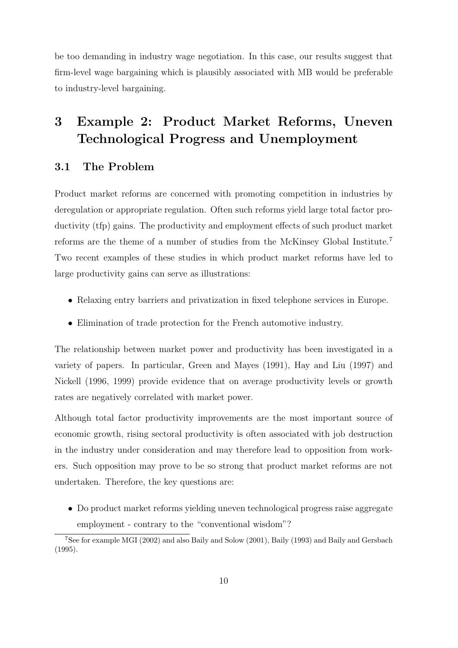be too demanding in industry wage negotiation. In this case, our results suggest that firm-level wage bargaining which is plausibly associated with MB would be preferable to industry-level bargaining.

## 3 Example 2: Product Market Reforms, Uneven Technological Progress and Unemployment

#### 3.1 The Problem

Product market reforms are concerned with promoting competition in industries by deregulation or appropriate regulation. Often such reforms yield large total factor productivity (tfp) gains. The productivity and employment effects of such product market reforms are the theme of a number of studies from the McKinsey Global Institute.<sup>7</sup> Two recent examples of these studies in which product market reforms have led to large productivity gains can serve as illustrations:

- Relaxing entry barriers and privatization in fixed telephone services in Europe.
- Elimination of trade protection for the French automotive industry.

The relationship between market power and productivity has been investigated in a variety of papers. In particular, Green and Mayes (1991), Hay and Liu (1997) and Nickell (1996, 1999) provide evidence that on average productivity levels or growth rates are negatively correlated with market power.

Although total factor productivity improvements are the most important source of economic growth, rising sectoral productivity is often associated with job destruction in the industry under consideration and may therefore lead to opposition from workers. Such opposition may prove to be so strong that product market reforms are not undertaken. Therefore, the key questions are:

• Do product market reforms yielding uneven technological progress raise aggregate employment - contrary to the "conventional wisdom"?

<sup>7</sup>See for example MGI (2002) and also Baily and Solow (2001), Baily (1993) and Baily and Gersbach (1995).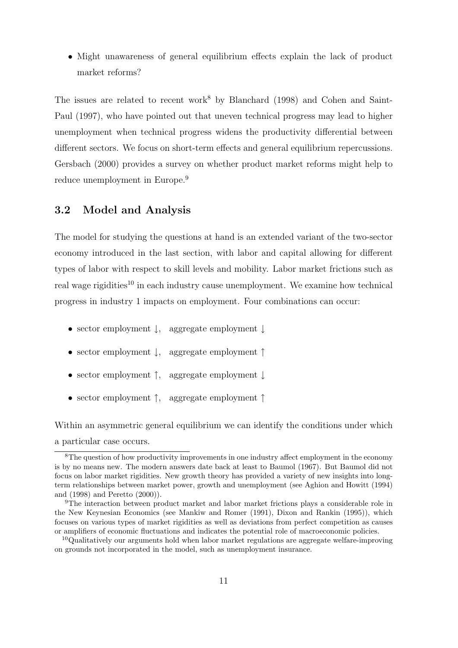• Might unawareness of general equilibrium effects explain the lack of product market reforms?

The issues are related to recent work<sup>8</sup> by Blanchard (1998) and Cohen and Saint-Paul (1997), who have pointed out that uneven technical progress may lead to higher unemployment when technical progress widens the productivity differential between different sectors. We focus on short-term effects and general equilibrium repercussions. Gersbach (2000) provides a survey on whether product market reforms might help to reduce unemployment in Europe.<sup>9</sup>

#### 3.2 Model and Analysis

The model for studying the questions at hand is an extended variant of the two-sector economy introduced in the last section, with labor and capital allowing for different types of labor with respect to skill levels and mobility. Labor market frictions such as real wage rigidities<sup>10</sup> in each industry cause unemployment. We examine how technical progress in industry 1 impacts on employment. Four combinations can occur:

- sector employment ↓, aggregate employment ↓
- sector employment ↓, aggregate employment ↑
- sector employment ↑, aggregate employment ↓
- sector employment ↑, aggregate employment ↑

Within an asymmetric general equilibrium we can identify the conditions under which a particular case occurs.

<sup>&</sup>lt;sup>8</sup>The question of how productivity improvements in one industry affect employment in the economy is by no means new. The modern answers date back at least to Baumol (1967). But Baumol did not focus on labor market rigidities. New growth theory has provided a variety of new insights into longterm relationships between market power, growth and unemployment (see Aghion and Howitt (1994) and (1998) and Peretto (2000)).

<sup>9</sup>The interaction between product market and labor market frictions plays a considerable role in the New Keynesian Economics (see Mankiw and Romer (1991), Dixon and Rankin (1995)), which focuses on various types of market rigidities as well as deviations from perfect competition as causes or amplifiers of economic fluctuations and indicates the potential role of macroeconomic policies.

<sup>&</sup>lt;sup>10</sup>Qualitatively our arguments hold when labor market regulations are aggregate welfare-improving on grounds not incorporated in the model, such as unemployment insurance.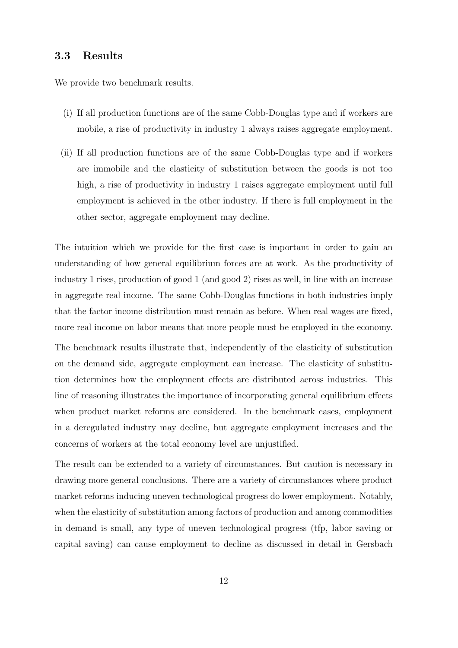#### 3.3 Results

We provide two benchmark results.

- (i) If all production functions are of the same Cobb-Douglas type and if workers are mobile, a rise of productivity in industry 1 always raises aggregate employment.
- (ii) If all production functions are of the same Cobb-Douglas type and if workers are immobile and the elasticity of substitution between the goods is not too high, a rise of productivity in industry 1 raises aggregate employment until full employment is achieved in the other industry. If there is full employment in the other sector, aggregate employment may decline.

The intuition which we provide for the first case is important in order to gain an understanding of how general equilibrium forces are at work. As the productivity of industry 1 rises, production of good 1 (and good 2) rises as well, in line with an increase in aggregate real income. The same Cobb-Douglas functions in both industries imply that the factor income distribution must remain as before. When real wages are fixed, more real income on labor means that more people must be employed in the economy.

The benchmark results illustrate that, independently of the elasticity of substitution on the demand side, aggregate employment can increase. The elasticity of substitution determines how the employment effects are distributed across industries. This line of reasoning illustrates the importance of incorporating general equilibrium effects when product market reforms are considered. In the benchmark cases, employment in a deregulated industry may decline, but aggregate employment increases and the concerns of workers at the total economy level are unjustified.

The result can be extended to a variety of circumstances. But caution is necessary in drawing more general conclusions. There are a variety of circumstances where product market reforms inducing uneven technological progress do lower employment. Notably, when the elasticity of substitution among factors of production and among commodities in demand is small, any type of uneven technological progress (tfp, labor saving or capital saving) can cause employment to decline as discussed in detail in Gersbach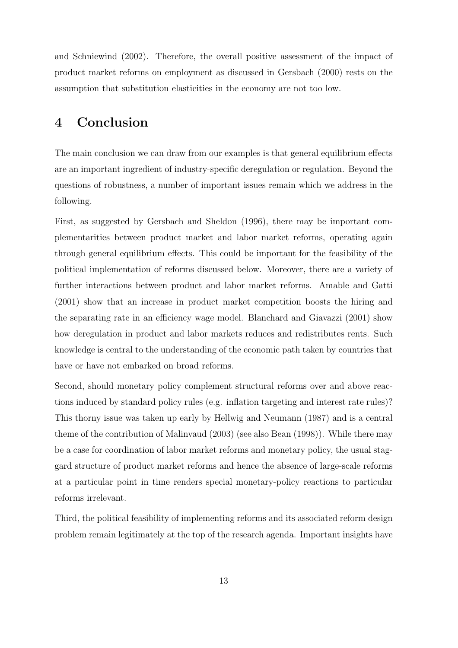and Schniewind (2002). Therefore, the overall positive assessment of the impact of product market reforms on employment as discussed in Gersbach (2000) rests on the assumption that substitution elasticities in the economy are not too low.

## 4 Conclusion

The main conclusion we can draw from our examples is that general equilibrium effects are an important ingredient of industry-specific deregulation or regulation. Beyond the questions of robustness, a number of important issues remain which we address in the following.

First, as suggested by Gersbach and Sheldon (1996), there may be important complementarities between product market and labor market reforms, operating again through general equilibrium effects. This could be important for the feasibility of the political implementation of reforms discussed below. Moreover, there are a variety of further interactions between product and labor market reforms. Amable and Gatti (2001) show that an increase in product market competition boosts the hiring and the separating rate in an efficiency wage model. Blanchard and Giavazzi (2001) show how deregulation in product and labor markets reduces and redistributes rents. Such knowledge is central to the understanding of the economic path taken by countries that have or have not embarked on broad reforms.

Second, should monetary policy complement structural reforms over and above reactions induced by standard policy rules (e.g. inflation targeting and interest rate rules)? This thorny issue was taken up early by Hellwig and Neumann (1987) and is a central theme of the contribution of Malinvaud (2003) (see also Bean (1998)). While there may be a case for coordination of labor market reforms and monetary policy, the usual staggard structure of product market reforms and hence the absence of large-scale reforms at a particular point in time renders special monetary-policy reactions to particular reforms irrelevant.

Third, the political feasibility of implementing reforms and its associated reform design problem remain legitimately at the top of the research agenda. Important insights have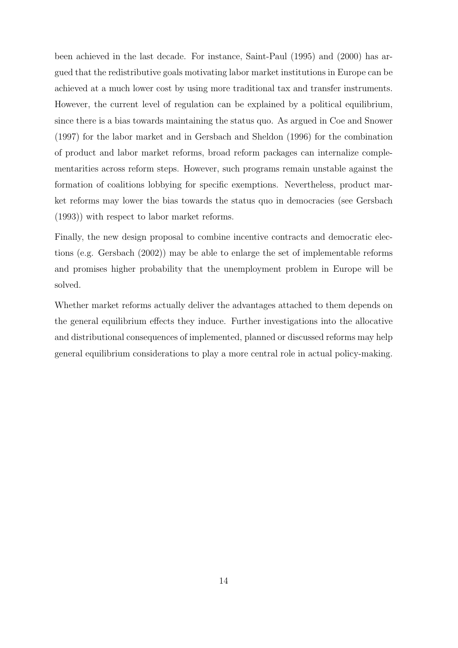been achieved in the last decade. For instance, Saint-Paul (1995) and (2000) has argued that the redistributive goals motivating labor market institutions in Europe can be achieved at a much lower cost by using more traditional tax and transfer instruments. However, the current level of regulation can be explained by a political equilibrium, since there is a bias towards maintaining the status quo. As argued in Coe and Snower (1997) for the labor market and in Gersbach and Sheldon (1996) for the combination of product and labor market reforms, broad reform packages can internalize complementarities across reform steps. However, such programs remain unstable against the formation of coalitions lobbying for specific exemptions. Nevertheless, product market reforms may lower the bias towards the status quo in democracies (see Gersbach (1993)) with respect to labor market reforms.

Finally, the new design proposal to combine incentive contracts and democratic elections (e.g. Gersbach (2002)) may be able to enlarge the set of implementable reforms and promises higher probability that the unemployment problem in Europe will be solved.

Whether market reforms actually deliver the advantages attached to them depends on the general equilibrium effects they induce. Further investigations into the allocative and distributional consequences of implemented, planned or discussed reforms may help general equilibrium considerations to play a more central role in actual policy-making.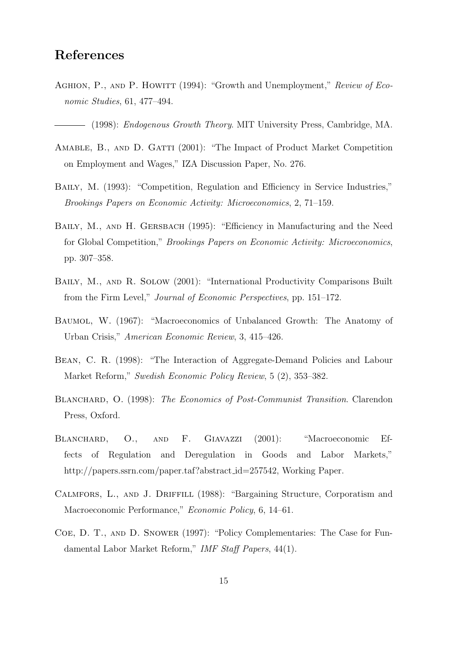## References

AGHION, P., AND P. HOWITT (1994): "Growth and Unemployment," Review of Economic Studies, 61, 477–494.

(1998): Endogenous Growth Theory. MIT University Press, Cambridge, MA.

- AMABLE, B., AND D. GATTI (2001): "The Impact of Product Market Competition on Employment and Wages," IZA Discussion Paper, No. 276.
- Baily, M. (1993): "Competition, Regulation and Efficiency in Service Industries," Brookings Papers on Economic Activity: Microeconomics, 2, 71–159.
- BAILY, M., AND H. GERSBACH (1995): "Efficiency in Manufacturing and the Need for Global Competition," Brookings Papers on Economic Activity: Microeconomics, pp. 307–358.
- Baily, M., and R. Solow (2001): "International Productivity Comparisons Built from the Firm Level," Journal of Economic Perspectives, pp. 151–172.
- Baumol, W. (1967): "Macroeconomics of Unbalanced Growth: The Anatomy of Urban Crisis," American Economic Review, 3, 415–426.
- Bean, C. R. (1998): "The Interaction of Aggregate-Demand Policies and Labour Market Reform," Swedish Economic Policy Review, 5 (2), 353–382.
- BLANCHARD, O. (1998): The Economics of Post-Communist Transition. Clarendon Press, Oxford.
- BLANCHARD, O., AND F. GIAVAZZI (2001): "Macroeconomic Effects of Regulation and Deregulation in Goods and Labor Markets," http://papers.ssrn.com/paper.taf?abstract\_id=257542, Working Paper.
- Calmfors, L., and J. Driffill (1988): "Bargaining Structure, Corporatism and Macroeconomic Performance," Economic Policy, 6, 14–61.
- Coe, D. T., and D. Snower (1997): "Policy Complementaries: The Case for Fundamental Labor Market Reform," IMF Staff Papers, 44(1).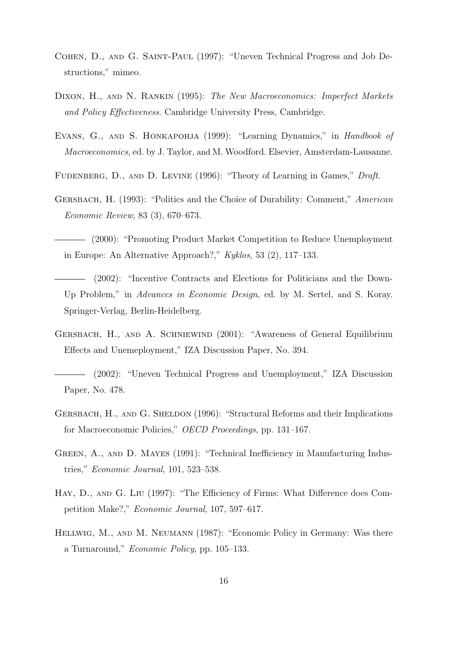- Cohen, D., and G. Saint-Paul (1997): "Uneven Technical Progress and Job Destructions," mimeo.
- DIXON, H., AND N. RANKIN (1995): The New Macroeconomics: Imperfect Markets and Policy Effectiveness. Cambridge University Press, Cambridge.
- EVANS, G., AND S. HONKAPOHJA (1999): "Learning Dynamics," in Handbook of Macroeconomics, ed. by J. Taylor, and M. Woodford. Elsevier, Amsterdam-Lausanne.
- FUDENBERG, D., AND D. LEVINE (1996): "Theory of Learning in Games," Draft.
- Gersbach, H. (1993): "Politics and the Choice of Durability: Comment," American Economic Review, 83 (3), 670–673.
- (2000): "Promoting Product Market Competition to Reduce Unemployment in Europe: An Alternative Approach?," Kyklos, 53 (2), 117–133.
- (2002): "Incentive Contracts and Elections for Politicians and the Down-Up Problem," in Advances in Economic Design, ed. by M. Sertel, and S. Koray. Springer-Verlag, Berlin-Heidelberg.
- Gersbach, H., and A. Schniewind (2001): "Awareness of General Equilibrium Effects and Unemeployment," IZA Discussion Paper, No. 394.
- (2002): "Uneven Technical Progress and Unemployment," IZA Discussion Paper, No. 478.
- Gersbach, H., and G. Sheldon (1996): "Structural Reforms and their Implications for Macroeconomic Policies," OECD Proceedings, pp. 131–167.
- GREEN, A., AND D. MAYES (1991): "Technical Inefficiency in Manufacturing Industries," Economic Journal, 101, 523–538.
- Hay, D., and G. Liu (1997): "The Efficiency of Firms: What Difference does Competition Make?," Economic Journal, 107, 597–617.
- Hellwig, M., and M. Neumann (1987): "Economic Policy in Germany: Was there a Turnaround," Economic Policy, pp. 105–133.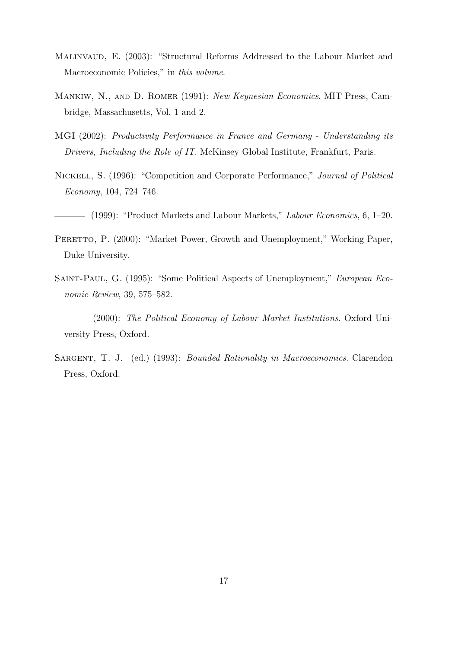- MALINVAUD, E. (2003): "Structural Reforms Addressed to the Labour Market and Macroeconomic Policies," in this volume.
- Mankiw, N., and D. Romer (1991): New Keynesian Economics. MIT Press, Cambridge, Massachusetts, Vol. 1 and 2.
- MGI (2002): Productivity Performance in France and Germany Understanding its Drivers, Including the Role of IT. McKinsey Global Institute, Frankfurt, Paris.
- Nickell, S. (1996): "Competition and Corporate Performance," Journal of Political Economy, 104, 724–746.
- (1999): "Product Markets and Labour Markets," Labour Economics, 6, 1–20.
- PERETTO, P. (2000): "Market Power, Growth and Unemployment," Working Paper, Duke University.
- Saint-Paul, G. (1995): "Some Political Aspects of Unemployment," European Economic Review, 39, 575–582.
- (2000): The Political Economy of Labour Market Institutions. Oxford University Press, Oxford.
- SARGENT, T. J. (ed.) (1993): *Bounded Rationality in Macroeconomics*. Clarendon Press, Oxford.